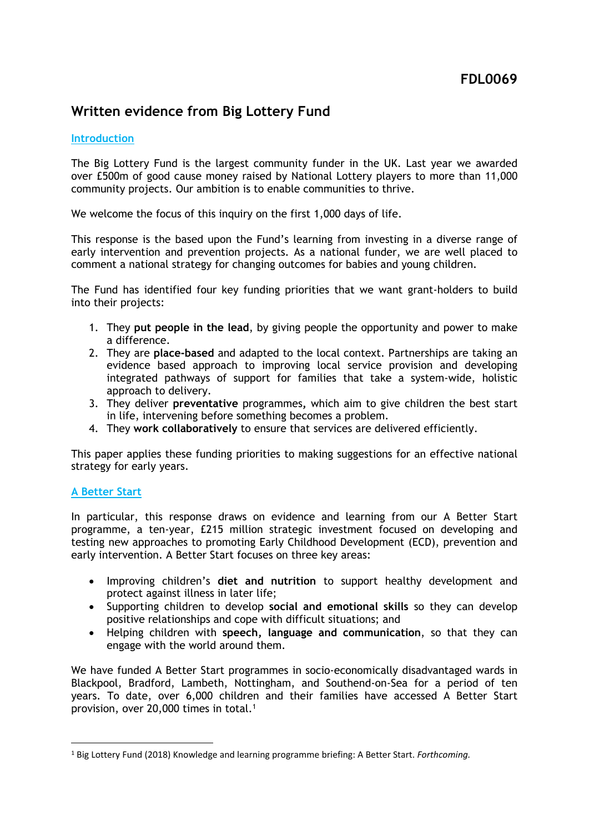# **Written evidence from Big Lottery Fund**

### **Introduction**

The Big Lottery Fund is the largest community funder in the UK. Last year we awarded over £500m of good cause money raised by National Lottery players to more than 11,000 community projects. Our ambition is to enable communities to thrive.

We welcome the focus of this inquiry on the first 1,000 days of life.

This response is the based upon the Fund's learning from investing in a diverse range of early intervention and prevention projects. As a national funder, we are well placed to comment a national strategy for changing outcomes for babies and young children.

The Fund has identified four key funding priorities that we want grant-holders to build into their projects:

- 1. They **put people in the lead**, by giving people the opportunity and power to make a difference.
- 2. They are **place-based** and adapted to the local context. Partnerships are taking an evidence based approach to improving local service provision and developing integrated pathways of support for families that take a system-wide, holistic approach to delivery.
- 3. They deliver **preventative** programmes**,** which aim to give children the best start in life, intervening before something becomes a problem.
- 4. They **work collaboratively** to ensure that services are delivered efficiently.

This paper applies these funding priorities to making suggestions for an effective national strategy for early years.

# **A Better Start**

In particular, this response draws on evidence and learning from our A Better Start programme, a ten-year, £215 million strategic investment focused on developing and testing new approaches to promoting Early Childhood Development (ECD), prevention and early intervention. A Better Start focuses on three key areas:

- Improving children's **diet and nutrition** to support healthy development and protect against illness in later life;
- Supporting children to develop **social and emotional skills** so they can develop positive relationships and cope with difficult situations; and
- Helping children with **speech, language and communication**, so that they can engage with the world around them.

We have funded A Better Start programmes in socio-economically disadvantaged wards in Blackpool, Bradford, Lambeth, Nottingham, and Southend-on-Sea for a period of ten years. To date, over 6,000 children and their families have accessed A Better Start provision, over 20,000 times in total.<sup>1</sup>

<sup>1</sup> Big Lottery Fund (2018) Knowledge and learning programme briefing: A Better Start. *Forthcoming.*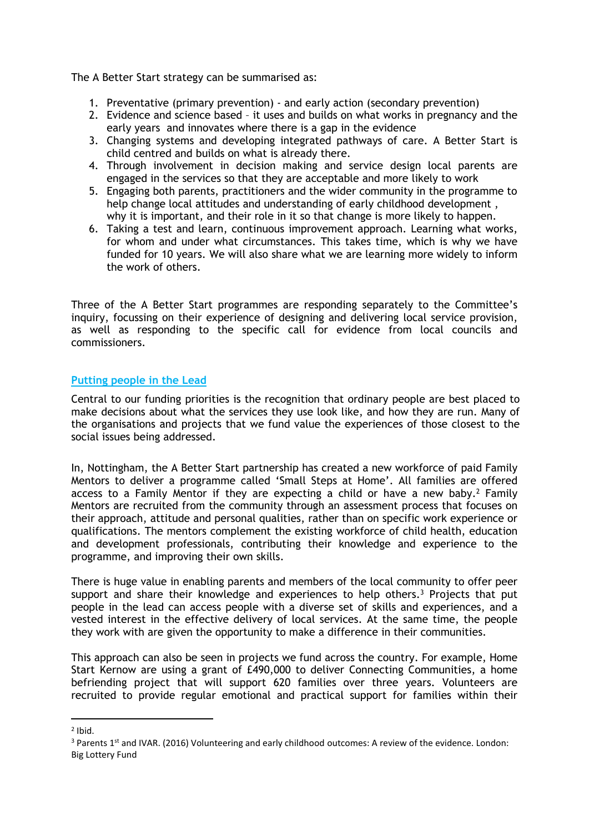The A Better Start strategy can be summarised as:

- 1. Preventative (primary prevention) and early action (secondary prevention)
- 2. Evidence and science based it uses and builds on what works in pregnancy and the early years and innovates where there is a gap in the evidence
- 3. Changing systems and developing integrated pathways of care. A Better Start is child centred and builds on what is already there.
- 4. Through involvement in decision making and service design local parents are engaged in the services so that they are acceptable and more likely to work
- 5. Engaging both parents, practitioners and the wider community in the programme to help change local attitudes and understanding of early childhood development , why it is important, and their role in it so that change is more likely to happen.
- 6. Taking a test and learn, continuous improvement approach. Learning what works, for whom and under what circumstances. This takes time, which is why we have funded for 10 years. We will also share what we are learning more widely to inform the work of others.

Three of the A Better Start programmes are responding separately to the Committee's inquiry, focussing on their experience of designing and delivering local service provision, as well as responding to the specific call for evidence from local councils and commissioners.

## **Putting people in the Lead**

Central to our funding priorities is the recognition that ordinary people are best placed to make decisions about what the services they use look like, and how they are run. Many of the organisations and projects that we fund value the experiences of those closest to the social issues being addressed.

In, Nottingham, the A Better Start partnership has created a new workforce of paid Family Mentors to deliver a programme called 'Small Steps at Home'. All families are offered access to a Family Mentor if they are expecting a child or have a new baby.<sup>2</sup> Family Mentors are recruited from the community through an assessment process that focuses on their approach, attitude and personal qualities, rather than on specific work experience or qualifications. The mentors complement the existing workforce of child health, education and development professionals, contributing their knowledge and experience to the programme, and improving their own skills.

There is huge value in enabling parents and members of the local community to offer peer support and share their knowledge and experiences to help others.<sup>3</sup> Projects that put people in the lead can access people with a diverse set of skills and experiences, and a vested interest in the effective delivery of local services. At the same time, the people they work with are given the opportunity to make a difference in their communities.

This approach can also be seen in projects we fund across the country. For example, Home Start Kernow are using a grant of £490,000 to deliver Connecting Communities, a home befriending project that will support 620 families over three years. Volunteers are recruited to provide regular emotional and practical support for families within their

<sup>2</sup> Ibid.

<sup>&</sup>lt;sup>3</sup> Parents 1<sup>st</sup> and IVAR. (2016) Volunteering and early childhood outcomes: A review of the evidence. London: Big Lottery Fund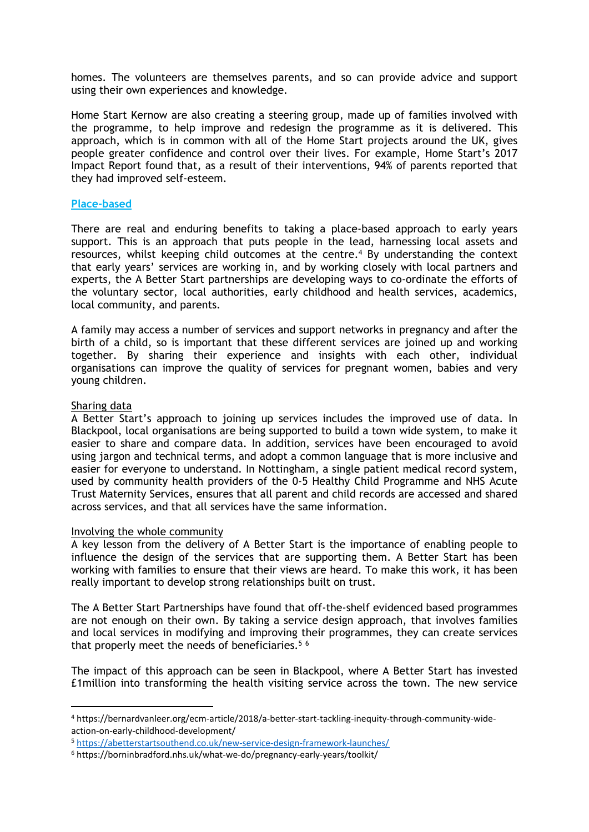homes. The volunteers are themselves parents, and so can provide advice and support using their own experiences and knowledge.

Home Start Kernow are also creating a steering group, made up of families involved with the programme, to help improve and redesign the programme as it is delivered. This approach, which is in common with all of the Home Start projects around the UK, gives people greater confidence and control over their lives. For example, Home Start's 2017 Impact Report found that, as a result of their interventions, 94% of parents reported that they had improved self-esteem.

#### **Place-based**

There are real and enduring benefits to taking a place-based approach to early years support. This is an approach that puts people in the lead, harnessing local assets and resources, whilst keeping child outcomes at the centre.<sup>4</sup> By understanding the context that early years' services are working in, and by working closely with local partners and experts, the A Better Start partnerships are developing ways to co-ordinate the efforts of the voluntary sector, local authorities, early childhood and health services, academics, local community, and parents.

A family may access a number of services and support networks in pregnancy and after the birth of a child, so is important that these different services are joined up and working together. By sharing their experience and insights with each other, individual organisations can improve the quality of services for pregnant women, babies and very young children.

#### Sharing data

A Better Start's approach to joining up services includes the improved use of data. In Blackpool, local organisations are being supported to build a town wide system, to make it easier to share and compare data. In addition, services have been encouraged to avoid using jargon and technical terms, and adopt a common language that is more inclusive and easier for everyone to understand. In Nottingham, a single patient medical record system, used by community health providers of the 0-5 Healthy Child Programme and NHS Acute Trust Maternity Services, ensures that all parent and child records are accessed and shared across services, and that all services have the same information.

#### Involving the whole community

A key lesson from the delivery of A Better Start is the importance of enabling people to influence the design of the services that are supporting them. A Better Start has been working with families to ensure that their views are heard. To make this work, it has been really important to develop strong relationships built on trust.

The A Better Start Partnerships have found that off-the-shelf evidenced based programmes are not enough on their own. By taking a service design approach, that involves families and local services in modifying and improving their programmes, they can create services that properly meet the needs of beneficiaries.<sup>56</sup>

The impact of this approach can be seen in Blackpool, where A Better Start has invested £1million into transforming the health visiting service across the town. The new service

<sup>4</sup> https://bernardvanleer.org/ecm-article/2018/a-better-start-tackling-inequity-through-community-wideaction-on-early-childhood-development/

<sup>5</sup> <https://abetterstartsouthend.co.uk/new-service-design-framework-launches/>

<sup>6</sup> https://borninbradford.nhs.uk/what-we-do/pregnancy-early-years/toolkit/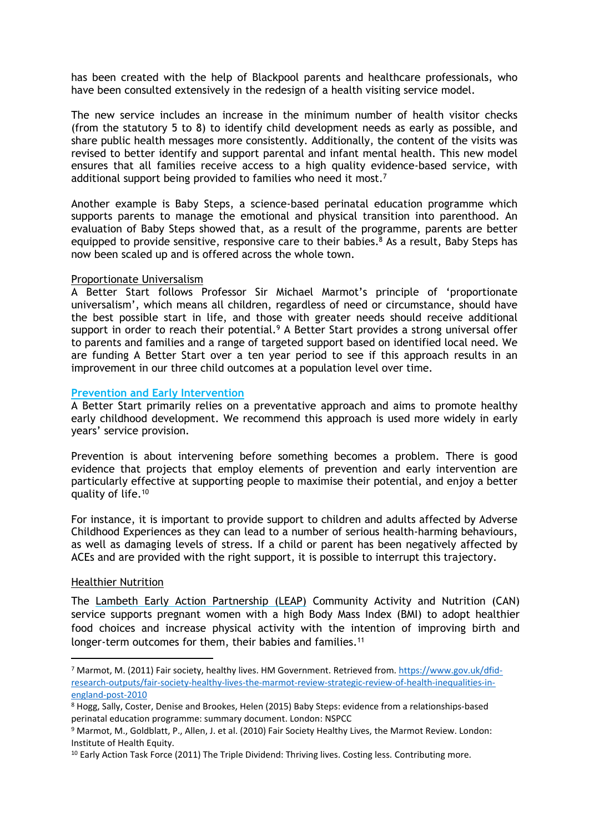has been created with the help of Blackpool parents and healthcare professionals, who have been consulted extensively in the redesign of a health visiting service model.

The new service includes an increase in the minimum number of health visitor checks (from the statutory 5 to 8) to identify child development needs as early as possible, and share public health messages more consistently. Additionally, the content of the visits was revised to better identify and support parental and infant mental health. This new model ensures that all families receive access to a high quality evidence-based service, with additional support being provided to families who need it most.<sup>7</sup>

Another example is Baby Steps, a science-based perinatal education programme which supports parents to manage the emotional and physical transition into parenthood. An evaluation of Baby Steps showed that, as a result of the programme, parents are better equipped to provide sensitive, responsive care to their babies.<sup>8</sup> As a result, Baby Steps has now been scaled up and is offered across the whole town.

#### Proportionate Universalism

A Better Start follows Professor Sir Michael Marmot's principle of 'proportionate universalism', which means all children, regardless of need or circumstance, should have the best possible start in life, and those with greater needs should receive additional support in order to reach their potential. $9$  A Better Start provides a strong universal offer to parents and families and a range of targeted support based on identified local need. We are funding A Better Start over a ten year period to see if this approach results in an improvement in our three child outcomes at a population level over time.

#### **Prevention and Early Intervention**

A Better Start primarily relies on a preventative approach and aims to promote healthy early childhood development. We recommend this approach is used more widely in early years' service provision.

Prevention is about intervening before something becomes a problem. There is good evidence that projects that employ elements of prevention and early intervention are particularly effective at supporting people to maximise their potential, and enjoy a better quality of life.<sup>10</sup>

For instance, it is important to provide support to children and adults affected by Adverse Childhood Experiences as they can lead to a number of serious health-harming behaviours, as well as damaging levels of stress. If a child or parent has been negatively affected by ACEs and are provided with the right support, it is possible to interrupt this trajectory.

#### Healthier Nutrition

The Lambeth Early Action Partnership (LEAP) Community Activity and Nutrition (CAN) service supports pregnant women with a high Body Mass Index (BMI) to adopt healthier food choices and increase physical activity with the intention of improving birth and longer-term outcomes for them, their babies and families.<sup>11</sup>

<sup>7</sup> Marmot, M. (2011) Fair society, healthy lives. HM Government. Retrieved from. [https://www.gov.uk/dfid](https://www.gov.uk/dfid-research-outputs/fair-society-healthy-lives-the-marmot-review-strategic-review-of-health-inequalities-in-england-post-2010)[research-outputs/fair-society-healthy-lives-the-marmot-review-strategic-review-of-health-inequalities-in](https://www.gov.uk/dfid-research-outputs/fair-society-healthy-lives-the-marmot-review-strategic-review-of-health-inequalities-in-england-post-2010)[england-post-2010](https://www.gov.uk/dfid-research-outputs/fair-society-healthy-lives-the-marmot-review-strategic-review-of-health-inequalities-in-england-post-2010)

<sup>8</sup> Hogg, Sally, Coster, Denise and Brookes, Helen (2015) Baby Steps: evidence from a relationships-based perinatal education programme: summary document. London: NSPCC

<sup>9</sup> Marmot, M., Goldblatt, P., Allen, J. et al. (2010) Fair Society Healthy Lives, the Marmot Review. London: Institute of Health Equity.

<sup>&</sup>lt;sup>10</sup> Early Action Task Force (2011) The Triple Dividend: Thriving lives. Costing less. Contributing more.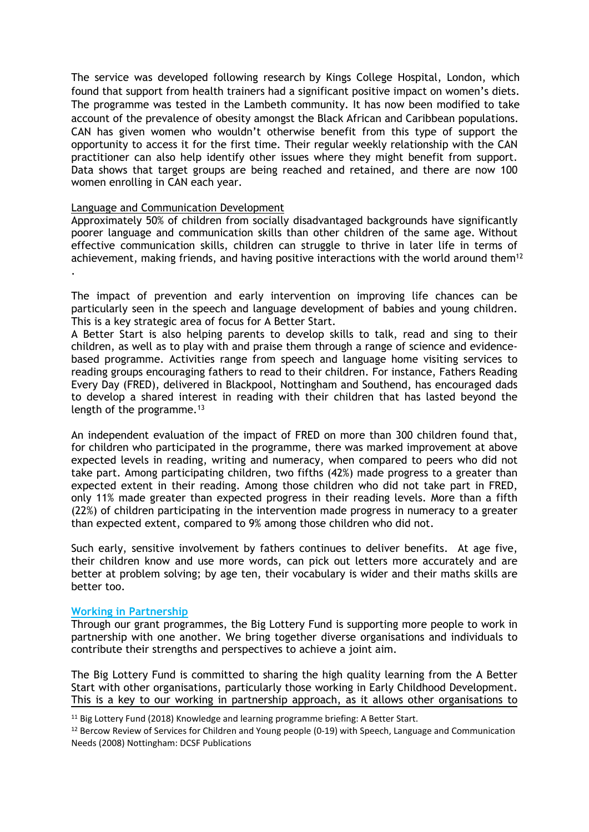The service was developed following research by Kings College Hospital, London, which found that support from health trainers had a significant positive impact on women's diets. The programme was tested in the Lambeth community. It has now been modified to take account of the prevalence of obesity amongst the Black African and Caribbean populations. CAN has given women who wouldn't otherwise benefit from this type of support the opportunity to access it for the first time. Their regular weekly relationship with the CAN practitioner can also help identify other issues where they might benefit from support. Data shows that target groups are being reached and retained, and there are now 100 women enrolling in CAN each year.

## Language and Communication Development

Approximately 50% of children from socially disadvantaged backgrounds have significantly poorer language and communication skills than other children of the same age. Without effective communication skills, children can struggle to thrive in later life in terms of achievement, making friends, and having positive interactions with the world around them<sup>12</sup> .

The impact of prevention and early intervention on improving life chances can be particularly seen in the speech and language development of babies and young children. This is a key strategic area of focus for A Better Start.

A Better Start is also helping parents to develop skills to talk, read and sing to their children, as well as to play with and praise them through a range of science and evidencebased programme. Activities range from speech and language home visiting services to reading groups encouraging fathers to read to their children. For instance, Fathers Reading Every Day (FRED), delivered in Blackpool, Nottingham and Southend, has encouraged dads to develop a shared interest in reading with their children that has lasted beyond the length of the programme. $13$ 

An independent evaluation of the impact of FRED on more than 300 children found that, for children who participated in the programme, there was marked improvement at above expected levels in reading, writing and numeracy, when compared to peers who did not take part. Among participating children, two fifths (42%) made progress to a greater than expected extent in their reading. Among those children who did not take part in FRED, only 11% made greater than expected progress in their reading levels. More than a fifth (22%) of children participating in the intervention made progress in numeracy to a greater than expected extent, compared to 9% among those children who did not.

Such early, sensitive involvement by fathers continues to deliver benefits. At age five, their children know and use more words, can pick out letters more accurately and are better at problem solving; by age ten, their vocabulary is wider and their maths skills are better too.

#### **Working in Partnership**

Through our grant programmes, the Big Lottery Fund is supporting more people to work in partnership with one another. We bring together diverse organisations and individuals to contribute their strengths and perspectives to achieve a joint aim.

The Big Lottery Fund is committed to sharing the high quality learning from the A Better Start with other organisations, particularly those working in Early Childhood Development. This is a key to our working in partnership approach, as it allows other organisations to

<sup>&</sup>lt;sup>11</sup> Big Lottery Fund (2018) Knowledge and learning programme briefing: A Better Start.

<sup>&</sup>lt;sup>12</sup> Bercow Review of Services for Children and Young people (0-19) with Speech, Language and Communication Needs (2008) Nottingham: DCSF Publications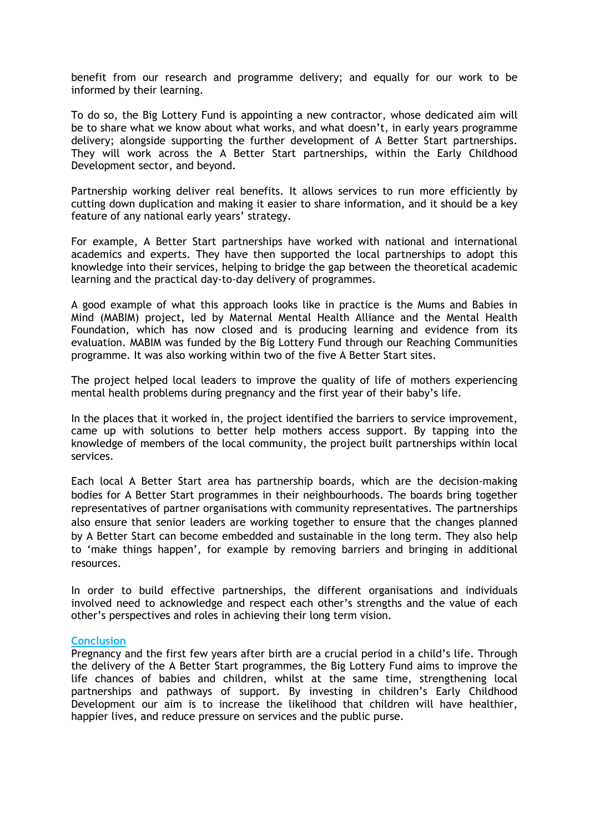benefit from our research and programme delivery; and equally for our work to be informed by their learning.

To do so, the Big Lottery Fund is appointing a new contractor, whose dedicated aim will be to share what we know about what works, and what doesn't, in early years programme delivery; alongside supporting the further development of A Better Start partnerships. They will work across the A Better Start partnerships, within the Early Childhood Development sector, and beyond.

Partnership working deliver real benefits. It allows services to run more efficiently by cutting down duplication and making it easier to share information, and it should be a key feature of any national early years' strategy.

For example, A Better Start partnerships have worked with national and international academics and experts. They have then supported the local partnerships to adopt this knowledge into their services, helping to bridge the gap between the theoretical academic learning and the practical day-to-day delivery of programmes.

A good example of what this approach looks like in practice is the Mums and Babies in Mind (MABIM) project, led by Maternal Mental Health Alliance and the Mental Health Foundation, which has now closed and is producing learning and evidence from its evaluation. MABIM was funded by the Big Lottery Fund through our Reaching Communities programme. It was also working within two of the five A Better Start sites.

The project helped local leaders to improve the quality of life of mothers experiencing mental health problems during pregnancy and the first year of their baby's life.

In the places that it worked in, the project identified the barriers to service improvement, came up with solutions to better help mothers access support. By tapping into the knowledge of members of the local community, the project built partnerships within local services.

Each local A Better Start area has partnership boards, which are the decision-making bodies for A Better Start programmes in their neighbourhoods. The boards bring together representatives of partner organisations with community representatives. The partnerships also ensure that senior leaders are working together to ensure that the changes planned by A Better Start can become embedded and sustainable in the long term. They also help to 'make things happen', for example by removing barriers and bringing in additional resources.

In order to build effective partnerships, the different organisations and individuals involved need to acknowledge and respect each other's strengths and the value of each other's perspectives and roles in achieving their long term vision.

#### **Conclusion**

Pregnancy and the first few years after birth are a crucial period in a child's life. Through the delivery of the A Better Start programmes, the Big Lottery Fund aims to improve the life chances of babies and children, whilst at the same time, strengthening local partnerships and pathways of support. By investing in children's Early Childhood Development our aim is to increase the likelihood that children will have healthier, happier lives, and reduce pressure on services and the public purse.